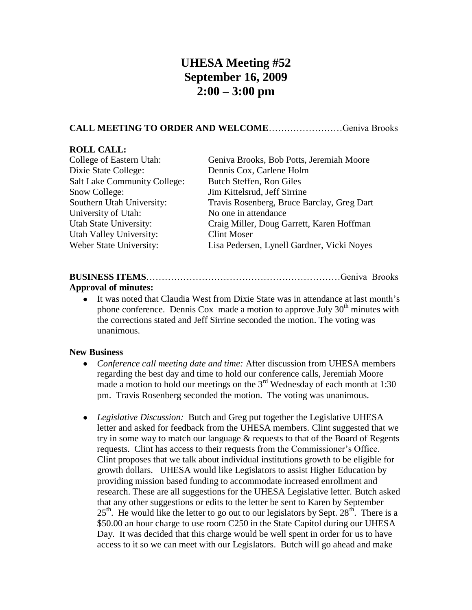# **UHESA Meeting #52 September 16, 2009 2:00 – 3:00 pm**

## **CALL MEETING TO ORDER AND WELCOME**……………………Geniva Brooks

#### **ROLL CALL:**

| College of Eastern Utah:            | Geniva Brooks, Bob Potts, Jeremiah Moore   |
|-------------------------------------|--------------------------------------------|
| Dixie State College:                | Dennis Cox, Carlene Holm                   |
| <b>Salt Lake Community College:</b> | Butch Steffen, Ron Giles                   |
| Snow College:                       | Jim Kittelsrud, Jeff Sirrine               |
| Southern Utah University:           | Travis Rosenberg, Bruce Barclay, Greg Dart |
| University of Utah:                 | No one in attendance                       |
| <b>Utah State University:</b>       | Craig Miller, Doug Garrett, Karen Hoffman  |
| <b>Utah Valley University:</b>      | <b>Clint Moser</b>                         |
| Weber State University:             | Lisa Pedersen, Lynell Gardner, Vicki Noyes |
|                                     |                                            |

# **BUSINESS ITEMS**………………………………………………………Geniva Brooks **Approval of minutes:**

### It was noted that Claudia West from Dixie State was in attendance at last month's phone conference. Dennis Cox made a motion to approve July  $30<sup>th</sup>$  minutes with the corrections stated and Jeff Sirrine seconded the motion. The voting was unanimous.

#### **New Business**

- $\bullet$ *Conference call meeting date and time:* After discussion from UHESA members regarding the best day and time to hold our conference calls, Jeremiah Moore made a motion to hold our meetings on the  $3<sup>rd</sup>$  Wednesday of each month at 1:30 pm. Travis Rosenberg seconded the motion. The voting was unanimous.
- *Legislative Discussion:* Butch and Greg put together the Legislative UHESA letter and asked for feedback from the UHESA members. Clint suggested that we try in some way to match our language & requests to that of the Board of Regents requests. Clint has access to their requests from the Commissioner's Office. Clint proposes that we talk about individual institutions growth to be eligible for growth dollars. UHESA would like Legislators to assist Higher Education by providing mission based funding to accommodate increased enrollment and research. These are all suggestions for the UHESA Legislative letter. Butch asked that any other suggestions or edits to the letter be sent to Karen by September  $25<sup>th</sup>$ . He would like the letter to go out to our legislators by Sept.  $28<sup>th</sup>$ . There is a \$50.00 an hour charge to use room C250 in the State Capitol during our UHESA Day. It was decided that this charge would be well spent in order for us to have access to it so we can meet with our Legislators. Butch will go ahead and make